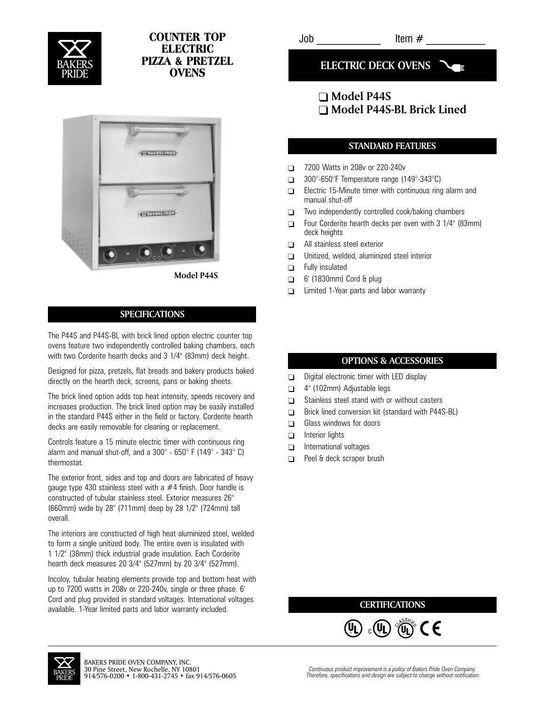

# COUNTER TOP **ELECTRIC** PIZZA & PRETZEL **OVENS**



**Model P44S**

#### **SPECIFICATIONS**

The P44S and P44S-BL with brick lined option electric counter top ovens feature two independently controlled baking chambers, each with two Corderite hearth decks and 3 1/4" (83mm) deck height.

Designed for pizza, pretzels, flat breads and bakery products baked directly on the hearth deck, screens, pans or baking sheets.

The brick lined option adds top heat intensity, speeds recovery and increases production. The brick lined option may be easily installed in the standard P44S either in the field or factory. Corderite hearth decks are easily removable for cleaning or replacement.

Controls feature a 15 minute electric timer with continuous ring alarm and manual shut-off, and a  $300^{\circ}$  -  $650^{\circ}$  F (149 $^{\circ}$  - 343 $^{\circ}$  C) thermostat.

The exterior front, sides and top and doors are fabricated of heavy gauge type 430 stainless steel with a #4 finish. Door handle is constructed of tubular stainless steel. Exterior measures 26" (660mm) wide by 28" (711mm) deep by 28 1/2" (724mm) tall overall.

The interiors are constructed of high heat aluminized steel, welded to form a single unitized body. The entire oven is insulated with 1 1/2" (38mm) thick industrial grade insulation. Each Corderite hearth deck measures 20 3/4" (527mm) by 20 3/4" (527mm).

Incoloy, tubular heating elements provide top and bottom heat with up to 7200 watts in 208v or 220-240v, single or three phase. 6' Cord and plug provided in standard voltages. International voltages available. 1-Year limited parts and labor warranty included.

 $Job$   $Item \#$ 

**ELECTRIC DECK OVENS**

# **Model P44S Model P44S-BL Brick Lined**

### **STANDARD FEATURES**

- $\Box$ 7200 Watts in 208v or 220-240v
- $\Box$ 300°-650°F Temperature range (149°-343°C)
- $\Box$ Electric 15-Minute timer with continuous ring alarm and manual shut-off
- $\Box$ Two independently controlled cook/baking chambers
- $\Box$ Four Corderite hearth decks per oven with 3 1/4" (83mm) deck heights
- $\Box$ All stainless steel exterior
- $\Box$ Unitized, welded, aluminized steel interior
- $\Box$ Fully insulated
- $\Box$ 6' (1830mm) Cord & plug
- $\Box$ Limited 1-Year parts and labor warranty

### **OPTIONS & ACCESSORIES**

- $\Box$ Digital electronic timer with LED display
- $\Box$ 4" (102mm) Adjustable legs
- $\Box$ Stainless steel stand with or without casters
- $\Box$ Brick lined conversion kit (standard with P44S-BL)
- $\Box$ Glass windows for doors
- $\Box$ Interior lights
- $\Box$ International voltages
- $\Box$ Peel & deck scraper brush

## **CERTIFICATIONS**

 $\widehat{\mathfrak{g}}$  ,  $\widehat{\mathfrak{g}}$  ,  $\widehat{\mathfrak{g}}$  ,  $\widehat{\mathfrak{g}}$  $_{\rm c}$ (VL)  $^{\circ}\!$ (U  $(\mathbf{l}_\mathbf{l})$   $\langle \mathbf{l}_\mathbf{l} \rangle$  $\mathsf{h}$ 

U